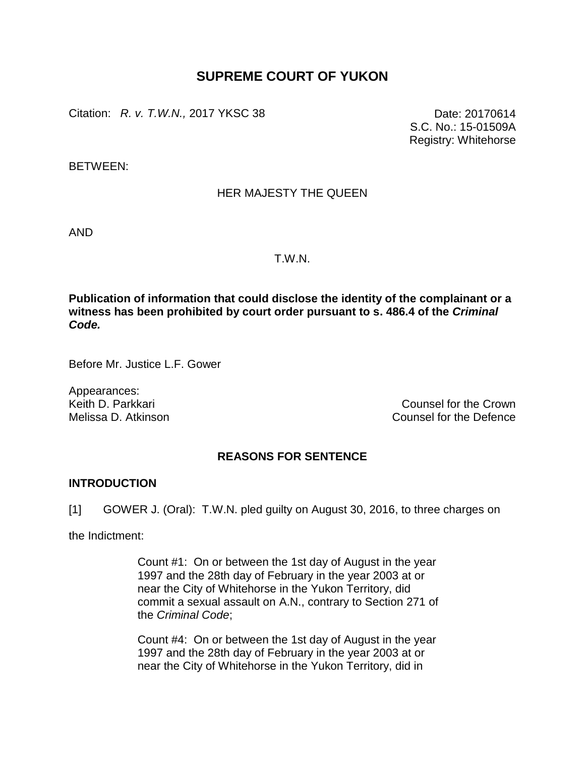# **SUPREME COURT OF YUKON**

Citation: *R. v. T.W.N.*, 2017 YKSC 38 Date: 20170614

S.C. No.: 15-01509A Registry: Whitehorse

BETWEEN:

# HER MAJESTY THE QUEEN

AND

#### T.W.N.

**Publication of information that could disclose the identity of the complainant or a witness has been prohibited by court order pursuant to s. 486.4 of the** *Criminal Code.*

Before Mr. Justice L.F. Gower

Appearances:

Keith D. Parkkari Counsel for the Crown<br>
Melissa D. Atkinson<br>
Melissa D. Atkinson Counsel for the Defence

## **REASONS FOR SENTENCE**

### **INTRODUCTION**

[1] GOWER J. (Oral): T.W.N. pled guilty on August 30, 2016, to three charges on

the Indictment:

Count #1: On or between the 1st day of August in the year 1997 and the 28th day of February in the year 2003 at or near the City of Whitehorse in the Yukon Territory, did commit a sexual assault on A.N., contrary to Section 271 of the *Criminal Code*;

Count #4: On or between the 1st day of August in the year 1997 and the 28th day of February in the year 2003 at or near the City of Whitehorse in the Yukon Territory, did in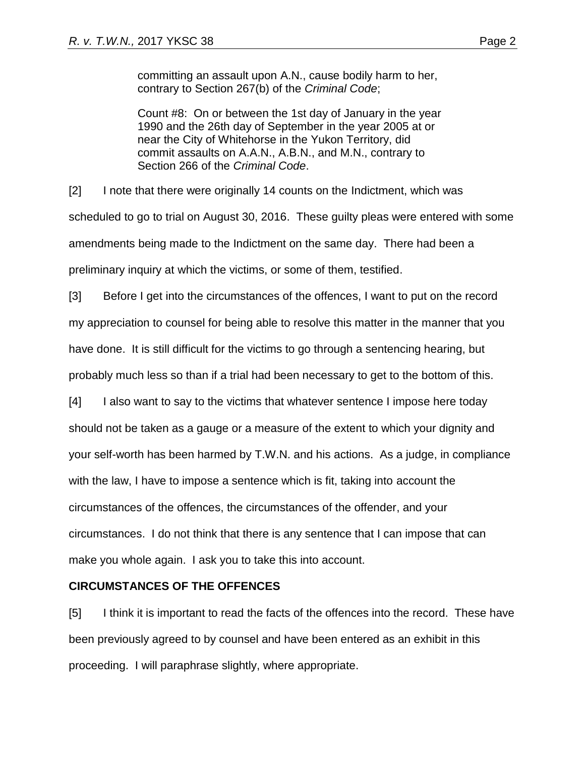committing an assault upon A.N., cause bodily harm to her, contrary to Section 267(b) of the *Criminal Code*;

Count #8: On or between the 1st day of January in the year 1990 and the 26th day of September in the year 2005 at or near the City of Whitehorse in the Yukon Territory, did commit assaults on A.A.N., A.B.N., and M.N., contrary to Section 266 of the *Criminal Code*.

[2] I note that there were originally 14 counts on the Indictment, which was scheduled to go to trial on August 30, 2016. These guilty pleas were entered with some amendments being made to the Indictment on the same day. There had been a preliminary inquiry at which the victims, or some of them, testified.

[3] Before I get into the circumstances of the offences, I want to put on the record my appreciation to counsel for being able to resolve this matter in the manner that you have done. It is still difficult for the victims to go through a sentencing hearing, but probably much less so than if a trial had been necessary to get to the bottom of this.

[4] I also want to say to the victims that whatever sentence I impose here today should not be taken as a gauge or a measure of the extent to which your dignity and your self-worth has been harmed by T.W.N. and his actions. As a judge, in compliance with the law, I have to impose a sentence which is fit, taking into account the circumstances of the offences, the circumstances of the offender, and your circumstances. I do not think that there is any sentence that I can impose that can make you whole again. I ask you to take this into account.

## **CIRCUMSTANCES OF THE OFFENCES**

[5] I think it is important to read the facts of the offences into the record. These have been previously agreed to by counsel and have been entered as an exhibit in this proceeding. I will paraphrase slightly, where appropriate.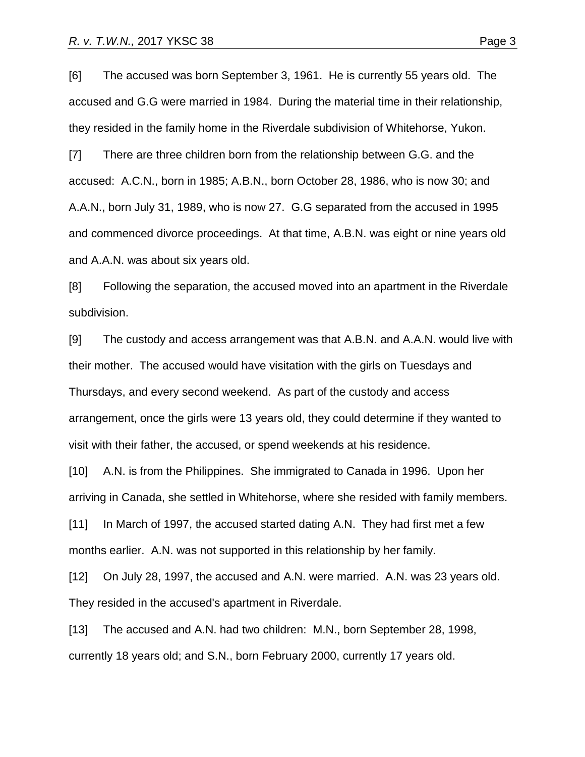[6] The accused was born September 3, 1961. He is currently 55 years old. The accused and G.G were married in 1984. During the material time in their relationship, they resided in the family home in the Riverdale subdivision of Whitehorse, Yukon.

[7] There are three children born from the relationship between G.G. and the accused: A.C.N., born in 1985; A.B.N., born October 28, 1986, who is now 30; and A.A.N., born July 31, 1989, who is now 27. G.G separated from the accused in 1995 and commenced divorce proceedings. At that time, A.B.N. was eight or nine years old and A.A.N. was about six years old.

[8] Following the separation, the accused moved into an apartment in the Riverdale subdivision.

[9] The custody and access arrangement was that A.B.N. and A.A.N. would live with their mother. The accused would have visitation with the girls on Tuesdays and Thursdays, and every second weekend. As part of the custody and access arrangement, once the girls were 13 years old, they could determine if they wanted to visit with their father, the accused, or spend weekends at his residence.

[10] A.N. is from the Philippines. She immigrated to Canada in 1996. Upon her arriving in Canada, she settled in Whitehorse, where she resided with family members. [11] In March of 1997, the accused started dating A.N. They had first met a few months earlier. A.N. was not supported in this relationship by her family.

[12] On July 28, 1997, the accused and A.N. were married. A.N. was 23 years old. They resided in the accused's apartment in Riverdale.

[13] The accused and A.N. had two children: M.N., born September 28, 1998, currently 18 years old; and S.N., born February 2000, currently 17 years old.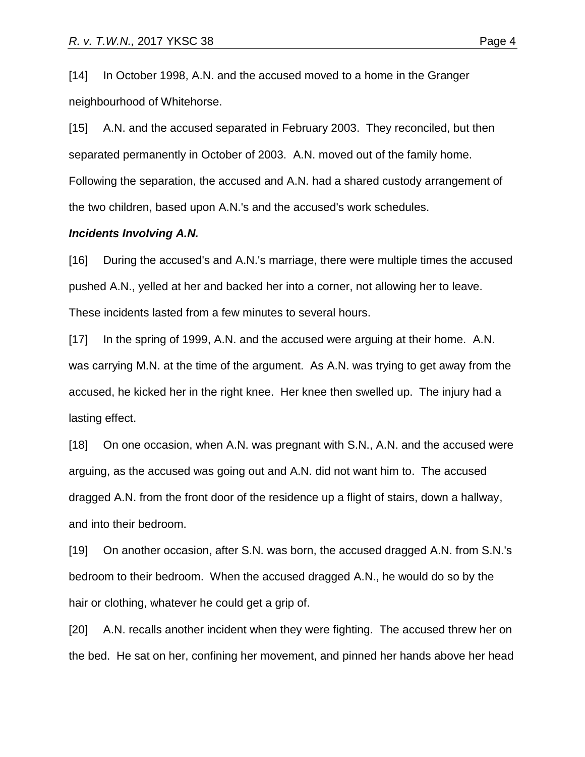[14] In October 1998, A.N. and the accused moved to a home in the Granger neighbourhood of Whitehorse.

[15] A.N. and the accused separated in February 2003. They reconciled, but then separated permanently in October of 2003. A.N. moved out of the family home. Following the separation, the accused and A.N. had a shared custody arrangement of the two children, based upon A.N.'s and the accused's work schedules.

#### *Incidents Involving A.N.*

[16] During the accused's and A.N.'s marriage, there were multiple times the accused pushed A.N., yelled at her and backed her into a corner, not allowing her to leave. These incidents lasted from a few minutes to several hours.

[17] In the spring of 1999, A.N. and the accused were arguing at their home. A.N. was carrying M.N. at the time of the argument. As A.N. was trying to get away from the accused, he kicked her in the right knee. Her knee then swelled up. The injury had a lasting effect.

[18] On one occasion, when A.N. was pregnant with S.N., A.N. and the accused were arguing, as the accused was going out and A.N. did not want him to. The accused dragged A.N. from the front door of the residence up a flight of stairs, down a hallway, and into their bedroom.

[19] On another occasion, after S.N. was born, the accused dragged A.N. from S.N.'s bedroom to their bedroom. When the accused dragged A.N., he would do so by the hair or clothing, whatever he could get a grip of.

[20] A.N. recalls another incident when they were fighting. The accused threw her on the bed. He sat on her, confining her movement, and pinned her hands above her head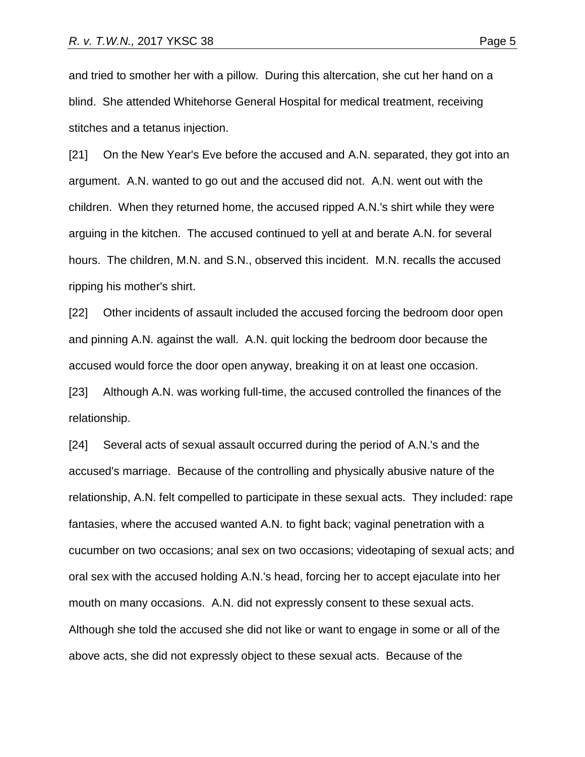and tried to smother her with a pillow. During this altercation, she cut her hand on a blind. She attended Whitehorse General Hospital for medical treatment, receiving stitches and a tetanus injection.

[21] On the New Year's Eve before the accused and A.N. separated, they got into an argument. A.N. wanted to go out and the accused did not. A.N. went out with the children. When they returned home, the accused ripped A.N.'s shirt while they were arguing in the kitchen. The accused continued to yell at and berate A.N. for several hours. The children, M.N. and S.N., observed this incident. M.N. recalls the accused ripping his mother's shirt.

[22] Other incidents of assault included the accused forcing the bedroom door open and pinning A.N. against the wall. A.N. quit locking the bedroom door because the accused would force the door open anyway, breaking it on at least one occasion.

[23] Although A.N. was working full-time, the accused controlled the finances of the relationship.

[24] Several acts of sexual assault occurred during the period of A.N.'s and the accused's marriage. Because of the controlling and physically abusive nature of the relationship, A.N. felt compelled to participate in these sexual acts. They included: rape fantasies, where the accused wanted A.N. to fight back; vaginal penetration with a cucumber on two occasions; anal sex on two occasions; videotaping of sexual acts; and oral sex with the accused holding A.N.'s head, forcing her to accept ejaculate into her mouth on many occasions. A.N. did not expressly consent to these sexual acts. Although she told the accused she did not like or want to engage in some or all of the above acts, she did not expressly object to these sexual acts. Because of the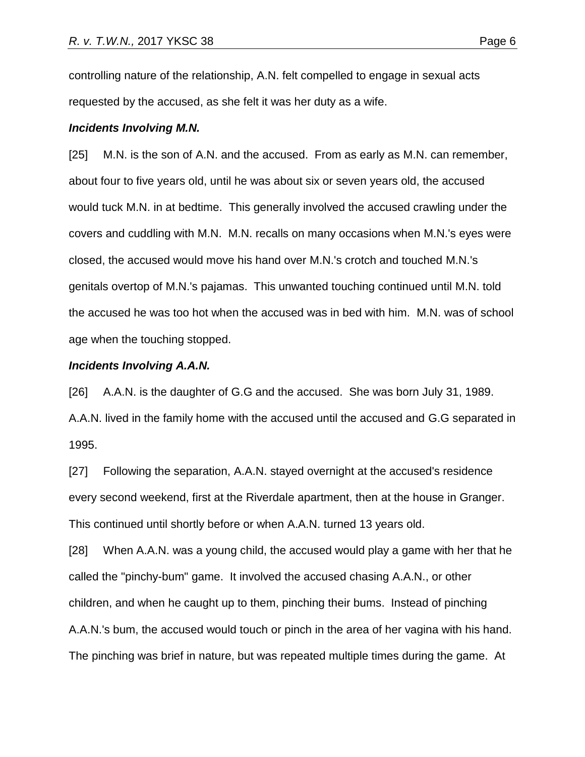controlling nature of the relationship, A.N. felt compelled to engage in sexual acts requested by the accused, as she felt it was her duty as a wife.

#### *Incidents Involving M.N.*

[25] M.N. is the son of A.N. and the accused. From as early as M.N. can remember, about four to five years old, until he was about six or seven years old, the accused would tuck M.N. in at bedtime. This generally involved the accused crawling under the covers and cuddling with M.N. M.N. recalls on many occasions when M.N.'s eyes were closed, the accused would move his hand over M.N.'s crotch and touched M.N.'s genitals overtop of M.N.'s pajamas. This unwanted touching continued until M.N. told the accused he was too hot when the accused was in bed with him. M.N. was of school age when the touching stopped.

#### *Incidents Involving A.A.N.*

[26] A.A.N. is the daughter of G.G and the accused. She was born July 31, 1989. A.A.N. lived in the family home with the accused until the accused and G.G separated in 1995.

[27] Following the separation, A.A.N. stayed overnight at the accused's residence every second weekend, first at the Riverdale apartment, then at the house in Granger. This continued until shortly before or when A.A.N. turned 13 years old.

[28] When A.A.N. was a young child, the accused would play a game with her that he called the "pinchy-bum" game. It involved the accused chasing A.A.N., or other children, and when he caught up to them, pinching their bums. Instead of pinching A.A.N.'s bum, the accused would touch or pinch in the area of her vagina with his hand. The pinching was brief in nature, but was repeated multiple times during the game. At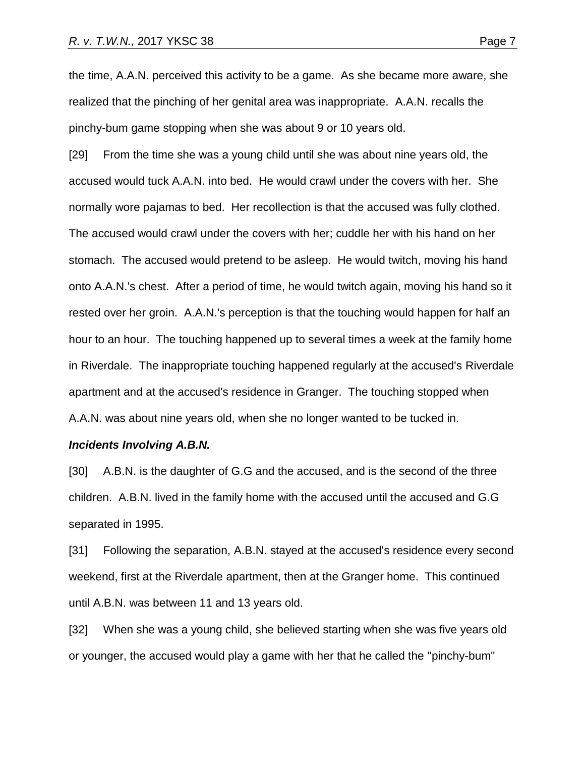the time, A.A.N. perceived this activity to be a game. As she became more aware, she realized that the pinching of her genital area was inappropriate. A.A.N. recalls the pinchy-bum game stopping when she was about 9 or 10 years old.

[29] From the time she was a young child until she was about nine years old, the accused would tuck A.A.N. into bed. He would crawl under the covers with her. She normally wore pajamas to bed. Her recollection is that the accused was fully clothed. The accused would crawl under the covers with her; cuddle her with his hand on her stomach. The accused would pretend to be asleep. He would twitch, moving his hand onto A.A.N.'s chest. After a period of time, he would twitch again, moving his hand so it rested over her groin. A.A.N.'s perception is that the touching would happen for half an hour to an hour. The touching happened up to several times a week at the family home in Riverdale. The inappropriate touching happened regularly at the accused's Riverdale apartment and at the accused's residence in Granger. The touching stopped when A.A.N. was about nine years old, when she no longer wanted to be tucked in.

#### *Incidents Involving A.B.N.*

[30] A.B.N. is the daughter of G.G and the accused, and is the second of the three children. A.B.N. lived in the family home with the accused until the accused and G.G separated in 1995.

[31] Following the separation, A.B.N. stayed at the accused's residence every second weekend, first at the Riverdale apartment, then at the Granger home. This continued until A.B.N. was between 11 and 13 years old.

[32] When she was a young child, she believed starting when she was five years old or younger, the accused would play a game with her that he called the "pinchy-bum"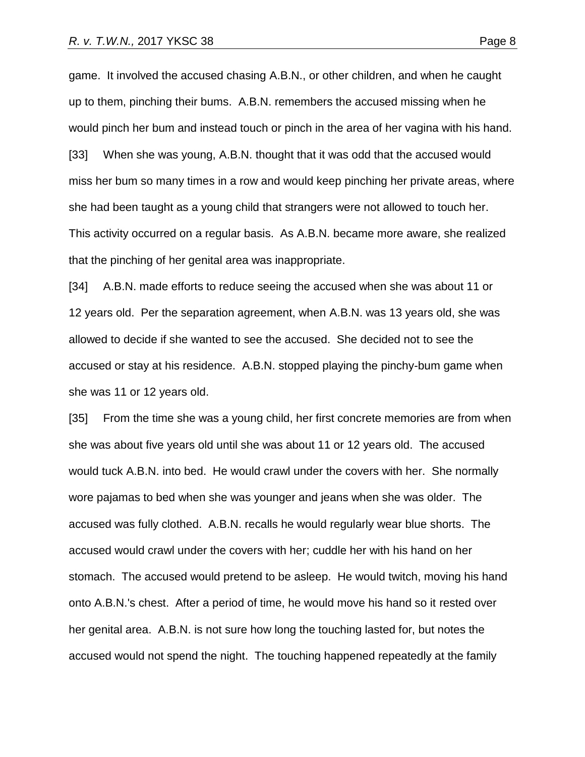game. It involved the accused chasing A.B.N., or other children, and when he caught up to them, pinching their bums. A.B.N. remembers the accused missing when he would pinch her bum and instead touch or pinch in the area of her vagina with his hand. [33] When she was young, A.B.N. thought that it was odd that the accused would miss her bum so many times in a row and would keep pinching her private areas, where she had been taught as a young child that strangers were not allowed to touch her. This activity occurred on a regular basis. As A.B.N. became more aware, she realized that the pinching of her genital area was inappropriate.

[34] A.B.N. made efforts to reduce seeing the accused when she was about 11 or 12 years old. Per the separation agreement, when A.B.N. was 13 years old, she was allowed to decide if she wanted to see the accused. She decided not to see the accused or stay at his residence. A.B.N. stopped playing the pinchy-bum game when she was 11 or 12 years old.

[35] From the time she was a young child, her first concrete memories are from when she was about five years old until she was about 11 or 12 years old. The accused would tuck A.B.N. into bed. He would crawl under the covers with her. She normally wore pajamas to bed when she was younger and jeans when she was older. The accused was fully clothed. A.B.N. recalls he would regularly wear blue shorts. The accused would crawl under the covers with her; cuddle her with his hand on her stomach. The accused would pretend to be asleep. He would twitch, moving his hand onto A.B.N.'s chest. After a period of time, he would move his hand so it rested over her genital area. A.B.N. is not sure how long the touching lasted for, but notes the accused would not spend the night. The touching happened repeatedly at the family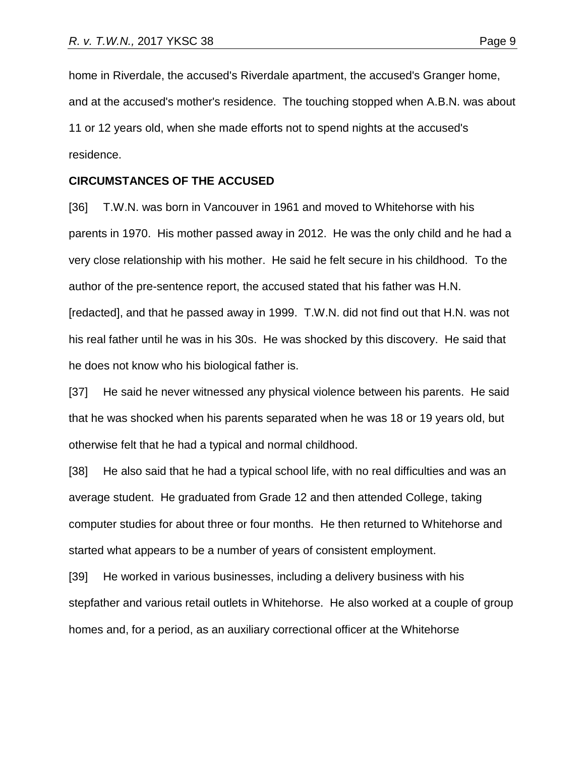home in Riverdale, the accused's Riverdale apartment, the accused's Granger home, and at the accused's mother's residence. The touching stopped when A.B.N. was about 11 or 12 years old, when she made efforts not to spend nights at the accused's residence.

### **CIRCUMSTANCES OF THE ACCUSED**

[36] T.W.N. was born in Vancouver in 1961 and moved to Whitehorse with his parents in 1970. His mother passed away in 2012. He was the only child and he had a very close relationship with his mother. He said he felt secure in his childhood. To the author of the pre-sentence report, the accused stated that his father was H.N. [redacted], and that he passed away in 1999. T.W.N. did not find out that H.N. was not his real father until he was in his 30s. He was shocked by this discovery. He said that he does not know who his biological father is.

[37] He said he never witnessed any physical violence between his parents. He said that he was shocked when his parents separated when he was 18 or 19 years old, but otherwise felt that he had a typical and normal childhood.

[38] He also said that he had a typical school life, with no real difficulties and was an average student. He graduated from Grade 12 and then attended College, taking computer studies for about three or four months. He then returned to Whitehorse and started what appears to be a number of years of consistent employment.

[39] He worked in various businesses, including a delivery business with his stepfather and various retail outlets in Whitehorse. He also worked at a couple of group homes and, for a period, as an auxiliary correctional officer at the Whitehorse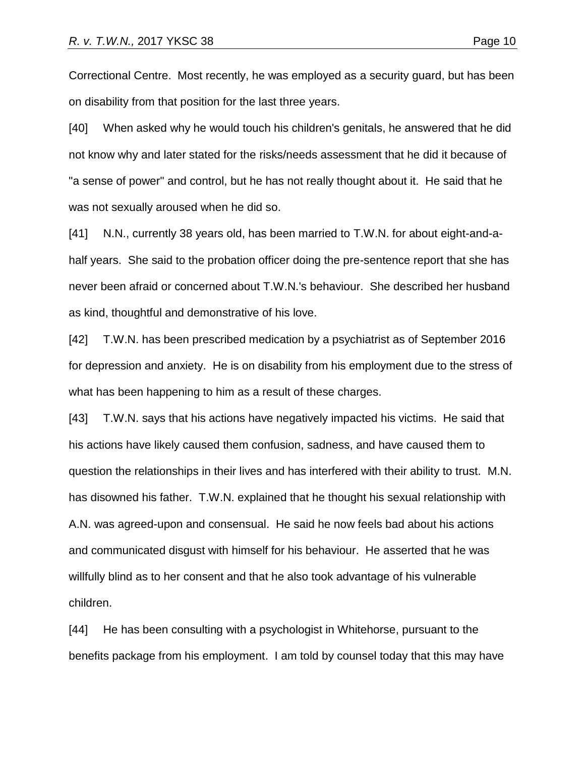Correctional Centre. Most recently, he was employed as a security guard, but has been on disability from that position for the last three years.

[40] When asked why he would touch his children's genitals, he answered that he did not know why and later stated for the risks/needs assessment that he did it because of "a sense of power" and control, but he has not really thought about it. He said that he was not sexually aroused when he did so.

[41] N.N., currently 38 years old, has been married to T.W.N. for about eight-and-ahalf years. She said to the probation officer doing the pre-sentence report that she has never been afraid or concerned about T.W.N.'s behaviour. She described her husband as kind, thoughtful and demonstrative of his love.

[42] T.W.N. has been prescribed medication by a psychiatrist as of September 2016 for depression and anxiety. He is on disability from his employment due to the stress of what has been happening to him as a result of these charges.

[43] T.W.N. says that his actions have negatively impacted his victims. He said that his actions have likely caused them confusion, sadness, and have caused them to question the relationships in their lives and has interfered with their ability to trust. M.N. has disowned his father. T.W.N. explained that he thought his sexual relationship with A.N. was agreed-upon and consensual. He said he now feels bad about his actions and communicated disgust with himself for his behaviour. He asserted that he was willfully blind as to her consent and that he also took advantage of his vulnerable children.

[44] He has been consulting with a psychologist in Whitehorse, pursuant to the benefits package from his employment. I am told by counsel today that this may have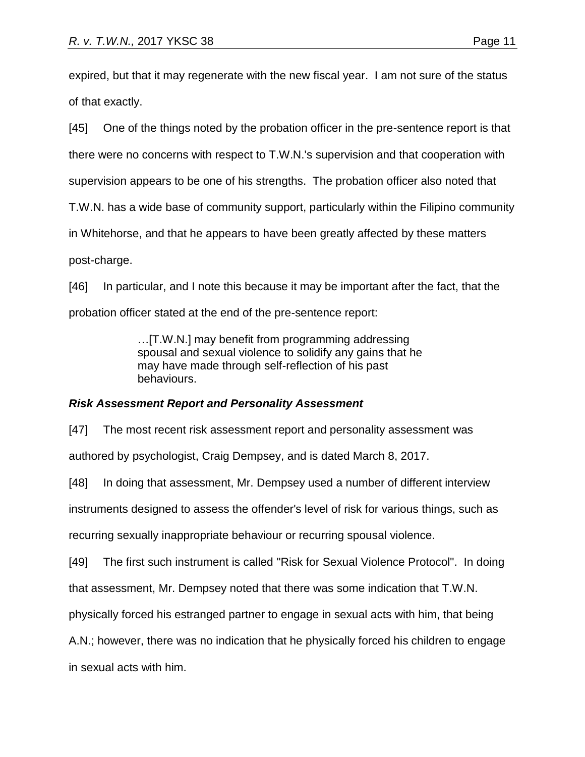expired, but that it may regenerate with the new fiscal year. I am not sure of the status of that exactly.

[45] One of the things noted by the probation officer in the pre-sentence report is that there were no concerns with respect to T.W.N.'s supervision and that cooperation with supervision appears to be one of his strengths. The probation officer also noted that T.W.N. has a wide base of community support, particularly within the Filipino community in Whitehorse, and that he appears to have been greatly affected by these matters post-charge.

[46] In particular, and I note this because it may be important after the fact, that the probation officer stated at the end of the pre-sentence report:

> …[T.W.N.] may benefit from programming addressing spousal and sexual violence to solidify any gains that he may have made through self-reflection of his past behaviours.

# *Risk Assessment Report and Personality Assessment*

[47] The most recent risk assessment report and personality assessment was authored by psychologist, Craig Dempsey, and is dated March 8, 2017.

[48] In doing that assessment, Mr. Dempsey used a number of different interview

instruments designed to assess the offender's level of risk for various things, such as

recurring sexually inappropriate behaviour or recurring spousal violence.

[49] The first such instrument is called "Risk for Sexual Violence Protocol". In doing

that assessment, Mr. Dempsey noted that there was some indication that T.W.N.

physically forced his estranged partner to engage in sexual acts with him, that being

A.N.; however, there was no indication that he physically forced his children to engage

in sexual acts with him.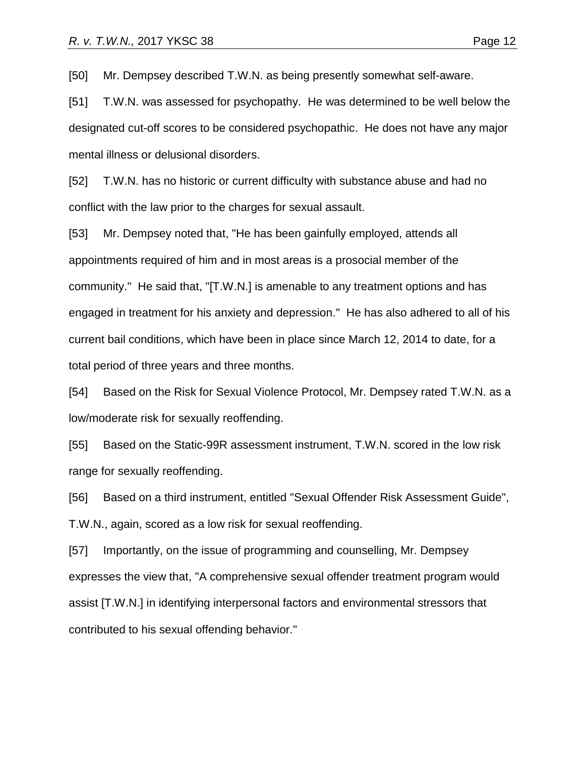[50] Mr. Dempsey described T.W.N. as being presently somewhat self-aware.

[51] T.W.N. was assessed for psychopathy. He was determined to be well below the designated cut-off scores to be considered psychopathic. He does not have any major mental illness or delusional disorders.

[52] T.W.N. has no historic or current difficulty with substance abuse and had no conflict with the law prior to the charges for sexual assault.

[53] Mr. Dempsey noted that, "He has been gainfully employed, attends all appointments required of him and in most areas is a prosocial member of the community." He said that, "[T.W.N.] is amenable to any treatment options and has engaged in treatment for his anxiety and depression." He has also adhered to all of his current bail conditions, which have been in place since March 12, 2014 to date, for a total period of three years and three months.

[54] Based on the Risk for Sexual Violence Protocol, Mr. Dempsey rated T.W.N. as a low/moderate risk for sexually reoffending.

[55] Based on the Static-99R assessment instrument, T.W.N. scored in the low risk range for sexually reoffending.

[56] Based on a third instrument, entitled "Sexual Offender Risk Assessment Guide", T.W.N., again, scored as a low risk for sexual reoffending.

[57] Importantly, on the issue of programming and counselling, Mr. Dempsey expresses the view that, "A comprehensive sexual offender treatment program would assist [T.W.N.] in identifying interpersonal factors and environmental stressors that contributed to his sexual offending behavior."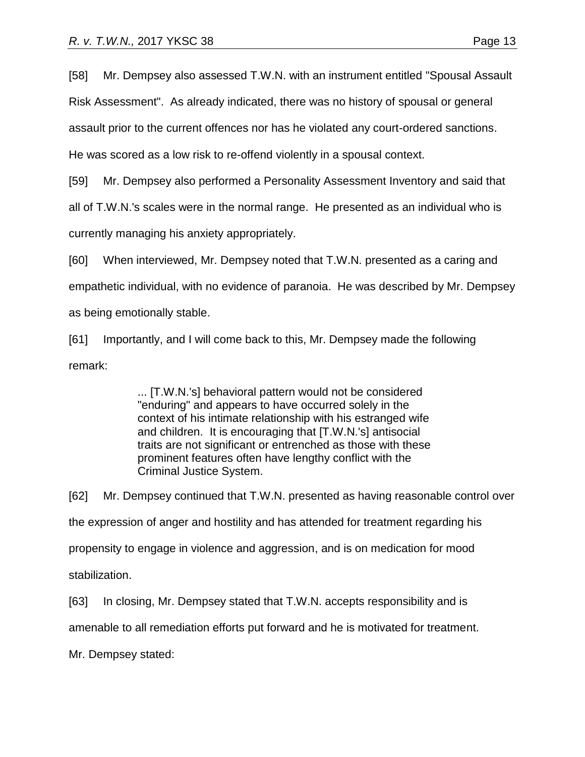[58] Mr. Dempsey also assessed T.W.N. with an instrument entitled "Spousal Assault

Risk Assessment". As already indicated, there was no history of spousal or general

assault prior to the current offences nor has he violated any court-ordered sanctions.

He was scored as a low risk to re-offend violently in a spousal context.

[59] Mr. Dempsey also performed a Personality Assessment Inventory and said that

all of T.W.N.'s scales were in the normal range. He presented as an individual who is

currently managing his anxiety appropriately.

[60] When interviewed, Mr. Dempsey noted that T.W.N. presented as a caring and

empathetic individual, with no evidence of paranoia. He was described by Mr. Dempsey

as being emotionally stable.

[61] Importantly, and I will come back to this, Mr. Dempsey made the following remark:

> ... [T.W.N.'s] behavioral pattern would not be considered "enduring" and appears to have occurred solely in the context of his intimate relationship with his estranged wife and children. It is encouraging that [T.W.N.'s] antisocial traits are not significant or entrenched as those with these prominent features often have lengthy conflict with the Criminal Justice System.

[62] Mr. Dempsey continued that T.W.N. presented as having reasonable control over the expression of anger and hostility and has attended for treatment regarding his propensity to engage in violence and aggression, and is on medication for mood stabilization.

[63] In closing, Mr. Dempsey stated that T.W.N. accepts responsibility and is

amenable to all remediation efforts put forward and he is motivated for treatment.

Mr. Dempsey stated: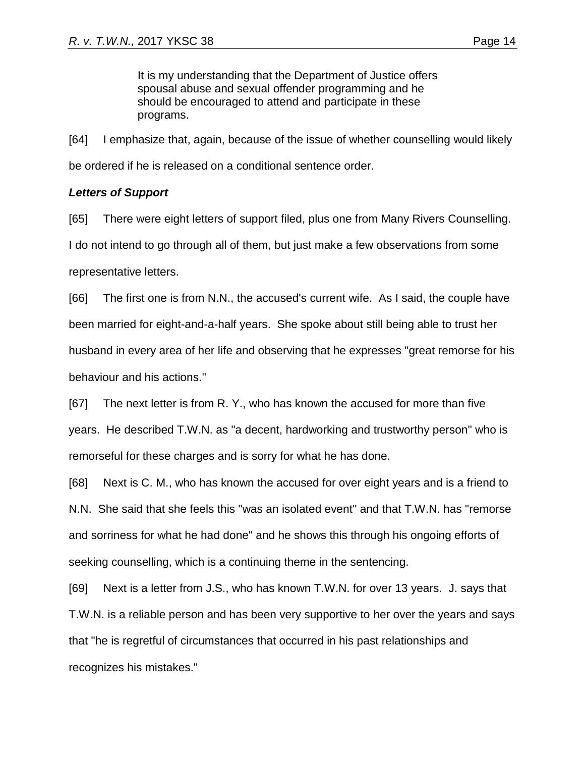It is my understanding that the Department of Justice offers spousal abuse and sexual offender programming and he should be encouraged to attend and participate in these programs.

[64] I emphasize that, again, because of the issue of whether counselling would likely be ordered if he is released on a conditional sentence order.

## *Letters of Support*

[65] There were eight letters of support filed, plus one from Many Rivers Counselling. I do not intend to go through all of them, but just make a few observations from some representative letters.

[66] The first one is from N.N., the accused's current wife. As I said, the couple have been married for eight-and-a-half years. She spoke about still being able to trust her husband in every area of her life and observing that he expresses "great remorse for his behaviour and his actions."

[67] The next letter is from R. Y., who has known the accused for more than five years. He described T.W.N. as "a decent, hardworking and trustworthy person" who is remorseful for these charges and is sorry for what he has done.

[68] Next is C. M., who has known the accused for over eight years and is a friend to N.N. She said that she feels this "was an isolated event" and that T.W.N. has "remorse and sorriness for what he had done" and he shows this through his ongoing efforts of seeking counselling, which is a continuing theme in the sentencing.

[69] Next is a letter from J.S., who has known T.W.N. for over 13 years. J. says that T.W.N. is a reliable person and has been very supportive to her over the years and says that "he is regretful of circumstances that occurred in his past relationships and recognizes his mistakes."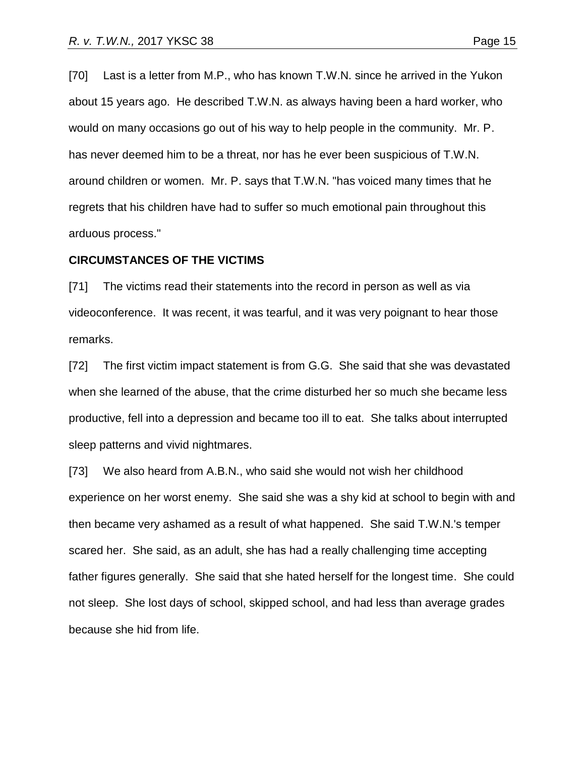[70] Last is a letter from M.P., who has known T.W.N. since he arrived in the Yukon about 15 years ago. He described T.W.N. as always having been a hard worker, who would on many occasions go out of his way to help people in the community. Mr. P. has never deemed him to be a threat, nor has he ever been suspicious of T.W.N. around children or women. Mr. P. says that T.W.N. "has voiced many times that he regrets that his children have had to suffer so much emotional pain throughout this arduous process."

#### **CIRCUMSTANCES OF THE VICTIMS**

[71] The victims read their statements into the record in person as well as via videoconference. It was recent, it was tearful, and it was very poignant to hear those remarks.

[72] The first victim impact statement is from G.G. She said that she was devastated when she learned of the abuse, that the crime disturbed her so much she became less productive, fell into a depression and became too ill to eat. She talks about interrupted sleep patterns and vivid nightmares.

[73] We also heard from A.B.N., who said she would not wish her childhood experience on her worst enemy. She said she was a shy kid at school to begin with and then became very ashamed as a result of what happened. She said T.W.N.'s temper scared her. She said, as an adult, she has had a really challenging time accepting father figures generally. She said that she hated herself for the longest time. She could not sleep. She lost days of school, skipped school, and had less than average grades because she hid from life.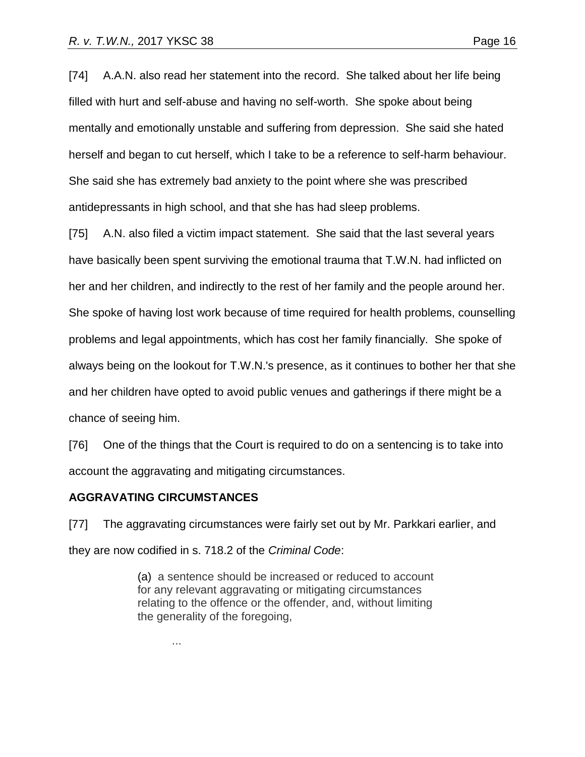[74] A.A.N. also read her statement into the record. She talked about her life being filled with hurt and self-abuse and having no self-worth. She spoke about being mentally and emotionally unstable and suffering from depression. She said she hated herself and began to cut herself, which I take to be a reference to self-harm behaviour. She said she has extremely bad anxiety to the point where she was prescribed antidepressants in high school, and that she has had sleep problems.

[75] A.N. also filed a victim impact statement. She said that the last several years have basically been spent surviving the emotional trauma that T.W.N. had inflicted on her and her children, and indirectly to the rest of her family and the people around her. She spoke of having lost work because of time required for health problems, counselling problems and legal appointments, which has cost her family financially. She spoke of always being on the lookout for T.W.N.'s presence, as it continues to bother her that she and her children have opted to avoid public venues and gatherings if there might be a chance of seeing him.

[76] One of the things that the Court is required to do on a sentencing is to take into account the aggravating and mitigating circumstances.

## **AGGRAVATING CIRCUMSTANCES**

[77] The aggravating circumstances were fairly set out by Mr. Parkkari earlier, and they are now codified in s. 718.2 of the *Criminal Code*:

> (a) a sentence should be increased or reduced to account for any relevant aggravating or mitigating circumstances relating to the offence or the offender, and, without limiting the generality of the foregoing,

> > ...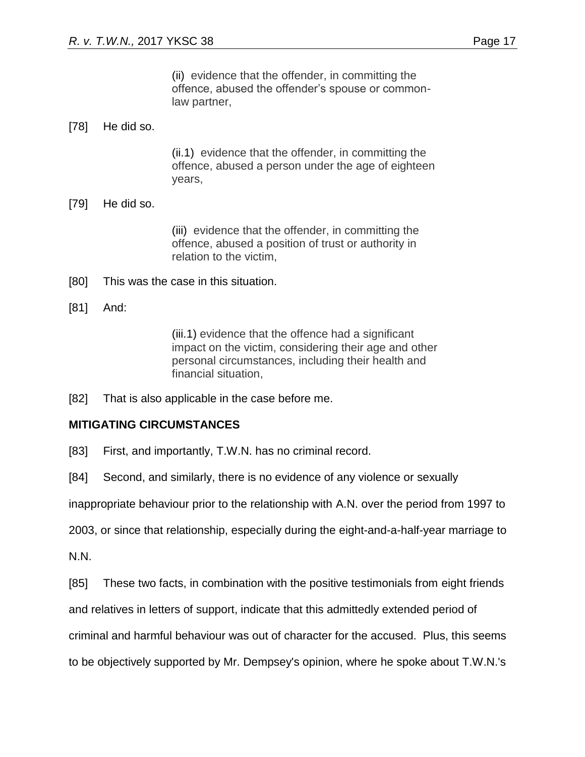# [78] He did so.

(ii.1) evidence that the offender, in committing the offence, abused a person under the age of eighteen years,

# [79] He did so.

(iii) evidence that the offender, in committing the offence, abused a position of trust or authority in relation to the victim,

- [80] This was the case in this situation.
- [81] And:

(iii.1) evidence that the offence had a significant impact on the victim, considering their age and other personal circumstances, including their health and financial situation,

[82] That is also applicable in the case before me.

# **MITIGATING CIRCUMSTANCES**

[83] First, and importantly, T.W.N. has no criminal record.

[84] Second, and similarly, there is no evidence of any violence or sexually

inappropriate behaviour prior to the relationship with A.N. over the period from 1997 to

2003, or since that relationship, especially during the eight-and-a-half-year marriage to

N.N.

[85] These two facts, in combination with the positive testimonials from eight friends

and relatives in letters of support, indicate that this admittedly extended period of

criminal and harmful behaviour was out of character for the accused. Plus, this seems

to be objectively supported by Mr. Dempsey's opinion, where he spoke about T.W.N.'s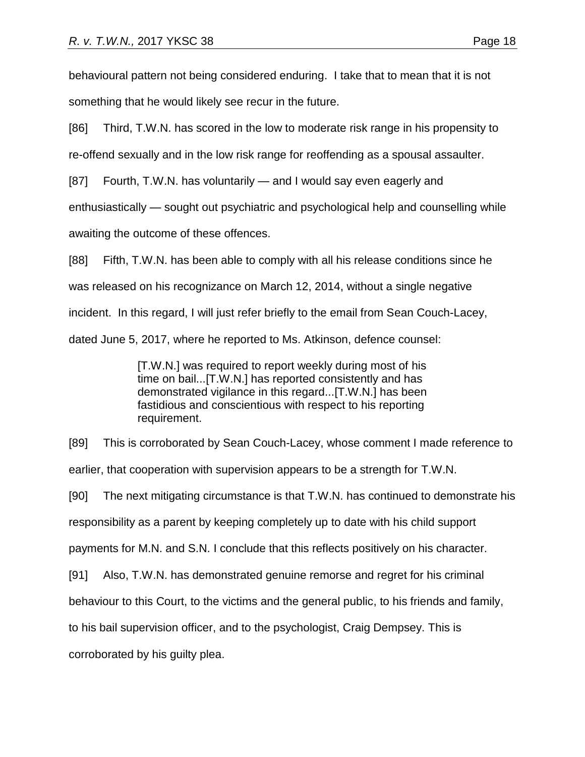behavioural pattern not being considered enduring. I take that to mean that it is not something that he would likely see recur in the future.

[86] Third, T.W.N. has scored in the low to moderate risk range in his propensity to

re-offend sexually and in the low risk range for reoffending as a spousal assaulter.

[87] Fourth, T.W.N. has voluntarily — and I would say even eagerly and

enthusiastically — sought out psychiatric and psychological help and counselling while

awaiting the outcome of these offences.

[88] Fifth, T.W.N. has been able to comply with all his release conditions since he was released on his recognizance on March 12, 2014, without a single negative incident. In this regard, I will just refer briefly to the email from Sean Couch-Lacey, dated June 5, 2017, where he reported to Ms. Atkinson, defence counsel:

> [T.W.N.] was required to report weekly during most of his time on bail...[T.W.N.] has reported consistently and has demonstrated vigilance in this regard...[T.W.N.] has been fastidious and conscientious with respect to his reporting requirement.

[89] This is corroborated by Sean Couch-Lacey, whose comment I made reference to

earlier, that cooperation with supervision appears to be a strength for T.W.N.

[90] The next mitigating circumstance is that T.W.N. has continued to demonstrate his

responsibility as a parent by keeping completely up to date with his child support

payments for M.N. and S.N. I conclude that this reflects positively on his character.

[91] Also, T.W.N. has demonstrated genuine remorse and regret for his criminal

behaviour to this Court, to the victims and the general public, to his friends and family,

to his bail supervision officer, and to the psychologist, Craig Dempsey. This is

corroborated by his guilty plea.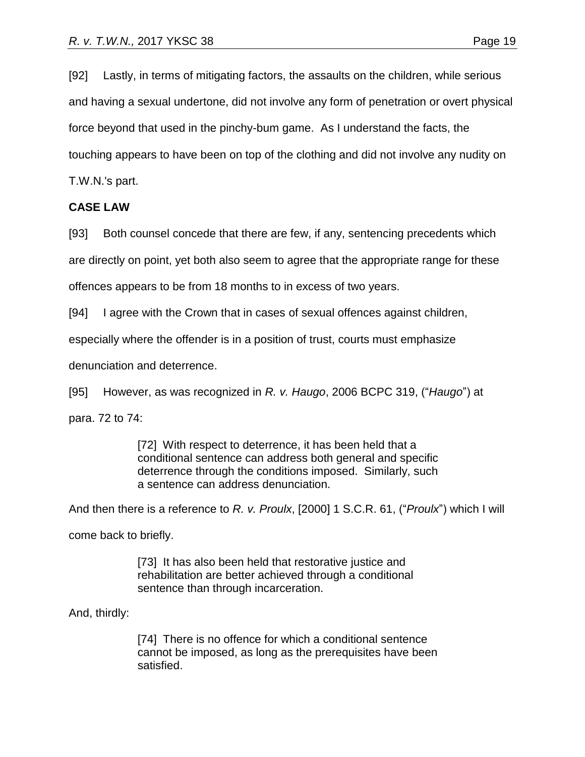[92] Lastly, in terms of mitigating factors, the assaults on the children, while serious and having a sexual undertone, did not involve any form of penetration or overt physical force beyond that used in the pinchy-bum game. As I understand the facts, the touching appears to have been on top of the clothing and did not involve any nudity on T.W.N.'s part.

## **CASE LAW**

[93] Both counsel concede that there are few, if any, sentencing precedents which are directly on point, yet both also seem to agree that the appropriate range for these

offences appears to be from 18 months to in excess of two years.

[94] I agree with the Crown that in cases of sexual offences against children,

especially where the offender is in a position of trust, courts must emphasize

denunciation and deterrence.

[95] However, as was recognized in *R. v. Haugo*, 2006 BCPC 319, ("*Haugo*") at

para. 72 to 74:

[72] With respect to deterrence, it has been held that a conditional sentence can address both general and specific deterrence through the conditions imposed. Similarly, such a sentence can address denunciation.

And then there is a reference to *R. v. Proulx*, [2000] 1 S.C.R. 61, ("*Proulx*") which I will

come back to briefly.

[73] It has also been held that restorative justice and rehabilitation are better achieved through a conditional sentence than through incarceration.

And, thirdly:

[74] There is no offence for which a conditional sentence cannot be imposed, as long as the prerequisites have been satisfied.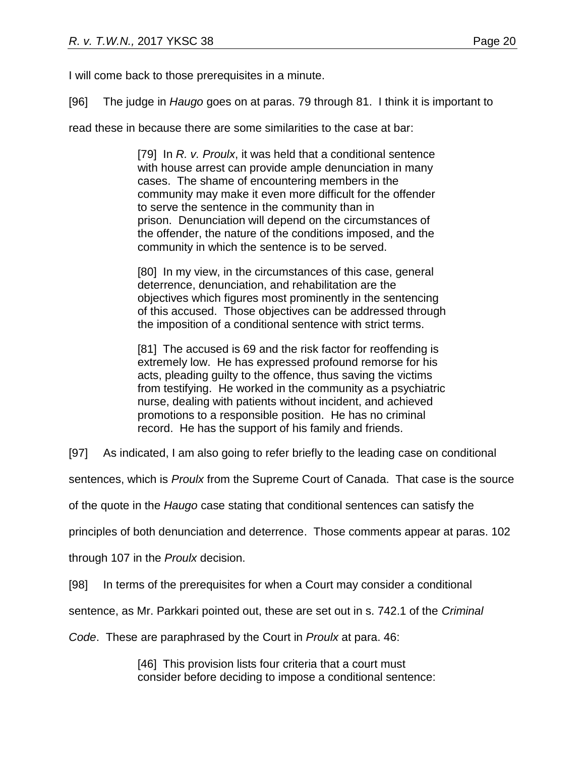I will come back to those prerequisites in a minute.

[96] The judge in *Haugo* goes on at paras. 79 through 81. I think it is important to

read these in because there are some similarities to the case at bar:

[79] In *R. v. Proulx*, it was held that a conditional sentence with house arrest can provide ample denunciation in many cases. The shame of encountering members in the community may make it even more difficult for the offender to serve the sentence in the community than in prison. Denunciation will depend on the circumstances of the offender, the nature of the conditions imposed, and the community in which the sentence is to be served.

[80] In my view, in the circumstances of this case, general deterrence, denunciation, and rehabilitation are the objectives which figures most prominently in the sentencing of this accused. Those objectives can be addressed through the imposition of a conditional sentence with strict terms.

[81] The accused is 69 and the risk factor for reoffending is extremely low. He has expressed profound remorse for his acts, pleading guilty to the offence, thus saving the victims from testifying. He worked in the community as a psychiatric nurse, dealing with patients without incident, and achieved promotions to a responsible position. He has no criminal record. He has the support of his family and friends.

[97] As indicated, I am also going to refer briefly to the leading case on conditional

sentences, which is *Proulx* from the Supreme Court of Canada. That case is the source

of the quote in the *Haugo* case stating that conditional sentences can satisfy the

principles of both denunciation and deterrence. Those comments appear at paras. 102

through 107 in the *Proulx* decision.

[98] In terms of the prerequisites for when a Court may consider a conditional

sentence, as Mr. Parkkari pointed out, these are set out in s. 742.1 of the *Criminal* 

*Code*. These are paraphrased by the Court in *Proulx* at para. 46:

[46] This provision lists four criteria that a court must consider before deciding to impose a conditional sentence: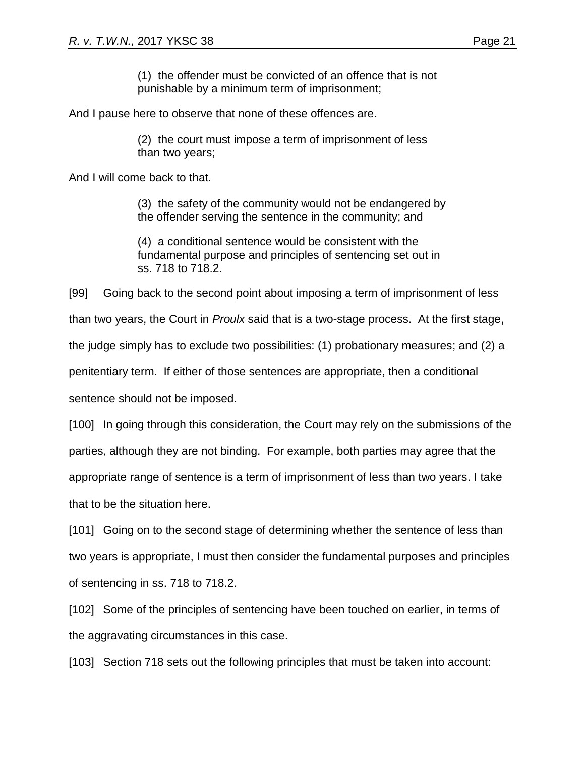(1) the offender must be convicted of an offence that is not punishable by a minimum term of imprisonment;

And I pause here to observe that none of these offences are.

(2) the court must impose a term of imprisonment of less than two years;

And I will come back to that.

(3) the safety of the community would not be endangered by the offender serving the sentence in the community; and

(4) a conditional sentence would be consistent with the fundamental purpose and principles of sentencing set out in ss. 718 to 718.2.

[99] Going back to the second point about imposing a term of imprisonment of less

than two years, the Court in *Proulx* said that is a two-stage process. At the first stage,

the judge simply has to exclude two possibilities: (1) probationary measures; and (2) a

penitentiary term. If either of those sentences are appropriate, then a conditional

sentence should not be imposed.

[100] In going through this consideration, the Court may rely on the submissions of the parties, although they are not binding. For example, both parties may agree that the appropriate range of sentence is a term of imprisonment of less than two years. I take that to be the situation here.

[101] Going on to the second stage of determining whether the sentence of less than two years is appropriate, I must then consider the fundamental purposes and principles of sentencing in ss. 718 to 718.2.

[102] Some of the principles of sentencing have been touched on earlier, in terms of the aggravating circumstances in this case.

[103] Section 718 sets out the following principles that must be taken into account: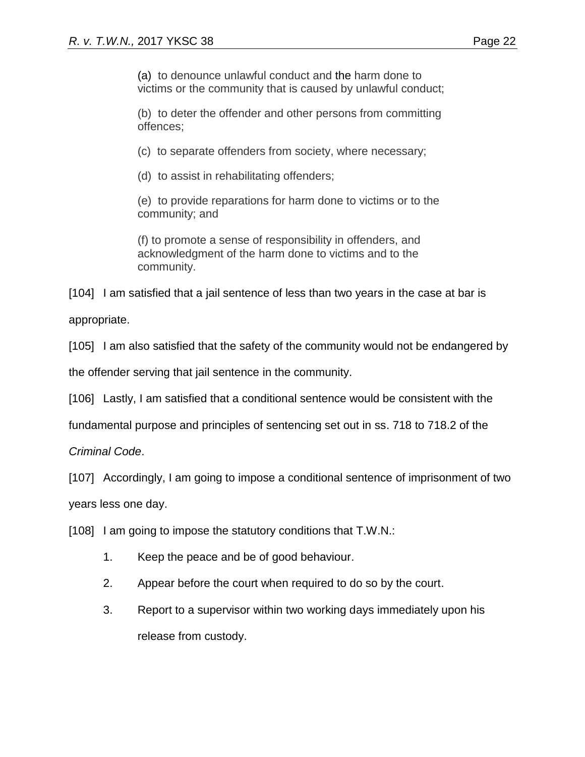(a) to denounce unlawful conduct and the harm done to victims or the community that is caused by unlawful conduct;

(b) to deter the offender and other persons from committing offences;

(c) to separate offenders from society, where necessary;

(d) to assist in rehabilitating offenders;

(e) to provide reparations for harm done to victims or to the community; and

(f) to promote a sense of responsibility in offenders, and acknowledgment of the harm done to victims and to the community.

[104] I am satisfied that a jail sentence of less than two years in the case at bar is

appropriate.

[105] I am also satisfied that the safety of the community would not be endangered by

the offender serving that jail sentence in the community.

[106] Lastly, I am satisfied that a conditional sentence would be consistent with the

fundamental purpose and principles of sentencing set out in ss. 718 to 718.2 of the

*Criminal Code*.

[107] Accordingly, I am going to impose a conditional sentence of imprisonment of two

years less one day.

[108] I am going to impose the statutory conditions that T.W.N.:

- 1. Keep the peace and be of good behaviour.
- 2. Appear before the court when required to do so by the court.
- 3. Report to a supervisor within two working days immediately upon his release from custody.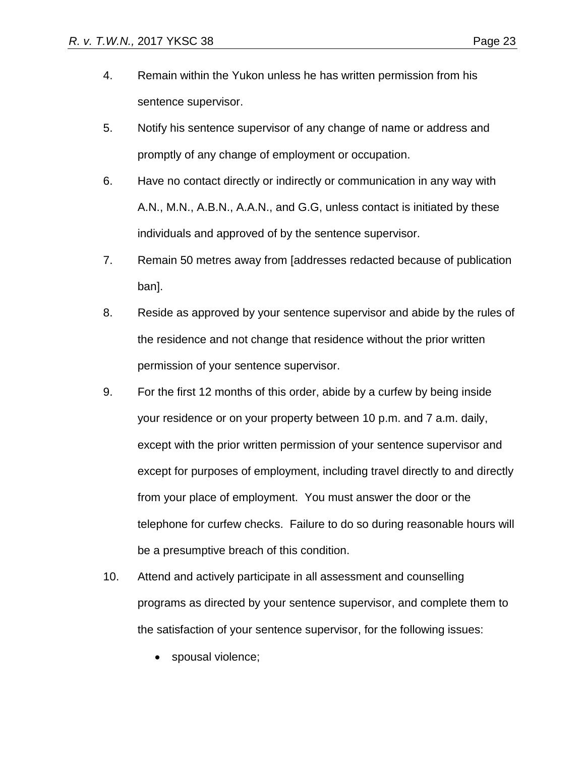- 5. Notify his sentence supervisor of any change of name or address and promptly of any change of employment or occupation.
- 6. Have no contact directly or indirectly or communication in any way with A.N., M.N., A.B.N., A.A.N., and G.G, unless contact is initiated by these individuals and approved of by the sentence supervisor.
- 7. Remain 50 metres away from [addresses redacted because of publication ban].
- 8. Reside as approved by your sentence supervisor and abide by the rules of the residence and not change that residence without the prior written permission of your sentence supervisor.
- 9. For the first 12 months of this order, abide by a curfew by being inside your residence or on your property between 10 p.m. and 7 a.m. daily, except with the prior written permission of your sentence supervisor and except for purposes of employment, including travel directly to and directly from your place of employment. You must answer the door or the telephone for curfew checks. Failure to do so during reasonable hours will be a presumptive breach of this condition.
- 10. Attend and actively participate in all assessment and counselling programs as directed by your sentence supervisor, and complete them to the satisfaction of your sentence supervisor, for the following issues:
	- spousal violence;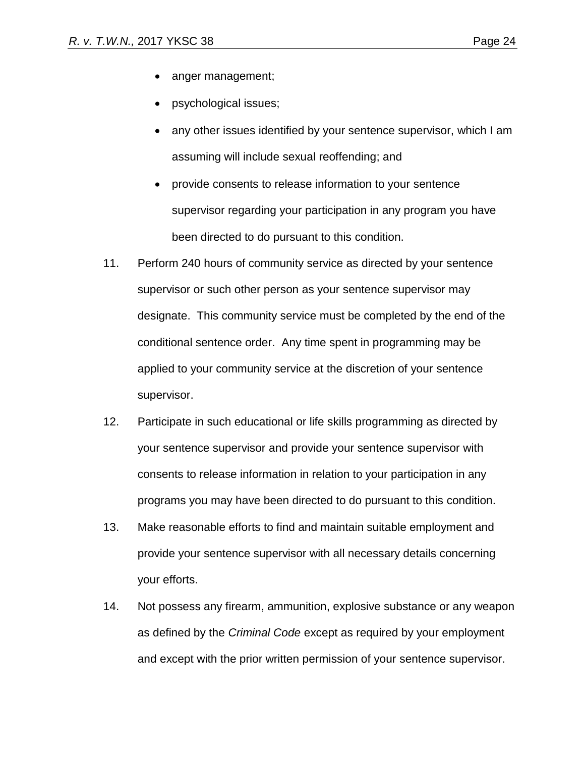- anger management;
- psychological issues;
- any other issues identified by your sentence supervisor, which I am assuming will include sexual reoffending; and
- provide consents to release information to your sentence supervisor regarding your participation in any program you have been directed to do pursuant to this condition.
- 11. Perform 240 hours of community service as directed by your sentence supervisor or such other person as your sentence supervisor may designate. This community service must be completed by the end of the conditional sentence order. Any time spent in programming may be applied to your community service at the discretion of your sentence supervisor.
- 12. Participate in such educational or life skills programming as directed by your sentence supervisor and provide your sentence supervisor with consents to release information in relation to your participation in any programs you may have been directed to do pursuant to this condition.
- 13. Make reasonable efforts to find and maintain suitable employment and provide your sentence supervisor with all necessary details concerning your efforts.
- 14. Not possess any firearm, ammunition, explosive substance or any weapon as defined by the *Criminal Code* except as required by your employment and except with the prior written permission of your sentence supervisor.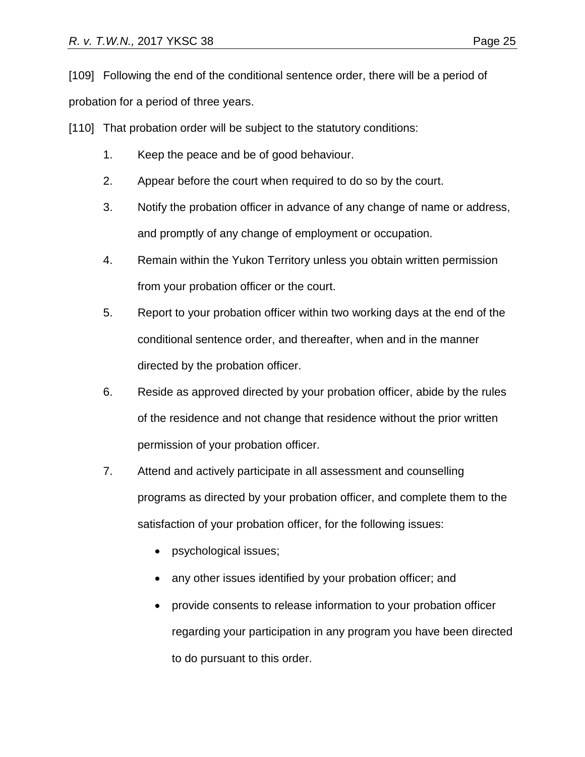[109] Following the end of the conditional sentence order, there will be a period of probation for a period of three years.

[110] That probation order will be subject to the statutory conditions:

- 1. Keep the peace and be of good behaviour.
- 2. Appear before the court when required to do so by the court.
- 3. Notify the probation officer in advance of any change of name or address, and promptly of any change of employment or occupation.
- 4. Remain within the Yukon Territory unless you obtain written permission from your probation officer or the court.
- 5. Report to your probation officer within two working days at the end of the conditional sentence order, and thereafter, when and in the manner directed by the probation officer.
- 6. Reside as approved directed by your probation officer, abide by the rules of the residence and not change that residence without the prior written permission of your probation officer.
- 7. Attend and actively participate in all assessment and counselling programs as directed by your probation officer, and complete them to the satisfaction of your probation officer, for the following issues:
	- psychological issues;
	- any other issues identified by your probation officer; and
	- provide consents to release information to your probation officer regarding your participation in any program you have been directed to do pursuant to this order.